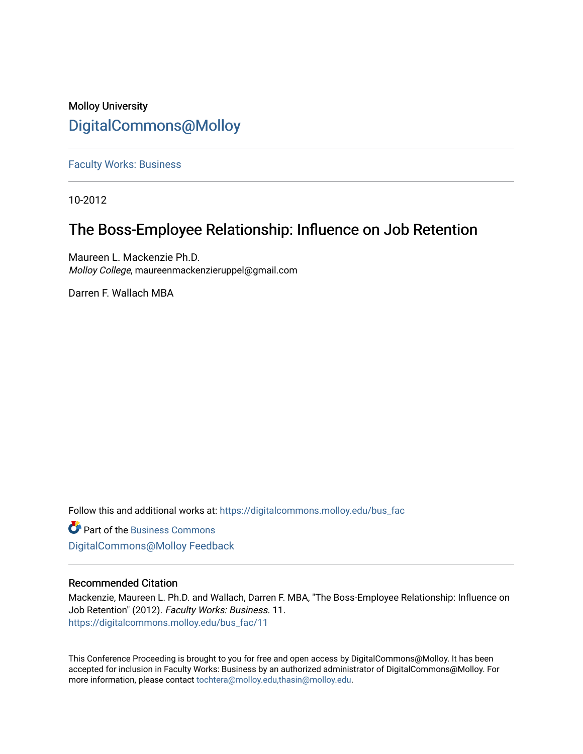### Molloy University [DigitalCommons@Molloy](https://digitalcommons.molloy.edu/)

[Faculty Works: Business](https://digitalcommons.molloy.edu/bus_fac) 

10-2012

## The Boss-Employee Relationship: Influence on Job Retention

Maureen L. Mackenzie Ph.D. Molloy College, maureenmackenzieruppel@gmail.com

Darren F. Wallach MBA

Follow this and additional works at: [https://digitalcommons.molloy.edu/bus\\_fac](https://digitalcommons.molloy.edu/bus_fac?utm_source=digitalcommons.molloy.edu%2Fbus_fac%2F11&utm_medium=PDF&utm_campaign=PDFCoverPages)

**C** Part of the [Business Commons](https://network.bepress.com/hgg/discipline/622?utm_source=digitalcommons.molloy.edu%2Fbus_fac%2F11&utm_medium=PDF&utm_campaign=PDFCoverPages) [DigitalCommons@Molloy Feedback](https://molloy.libwizard.com/f/dcfeedback)

### Recommended Citation

Mackenzie, Maureen L. Ph.D. and Wallach, Darren F. MBA, "The Boss-Employee Relationship: Influence on Job Retention" (2012). Faculty Works: Business. 11. [https://digitalcommons.molloy.edu/bus\\_fac/11](https://digitalcommons.molloy.edu/bus_fac/11?utm_source=digitalcommons.molloy.edu%2Fbus_fac%2F11&utm_medium=PDF&utm_campaign=PDFCoverPages) 

This Conference Proceeding is brought to you for free and open access by DigitalCommons@Molloy. It has been accepted for inclusion in Faculty Works: Business by an authorized administrator of DigitalCommons@Molloy. For more information, please contact [tochtera@molloy.edu,thasin@molloy.edu.](mailto:tochtera@molloy.edu,thasin@molloy.edu)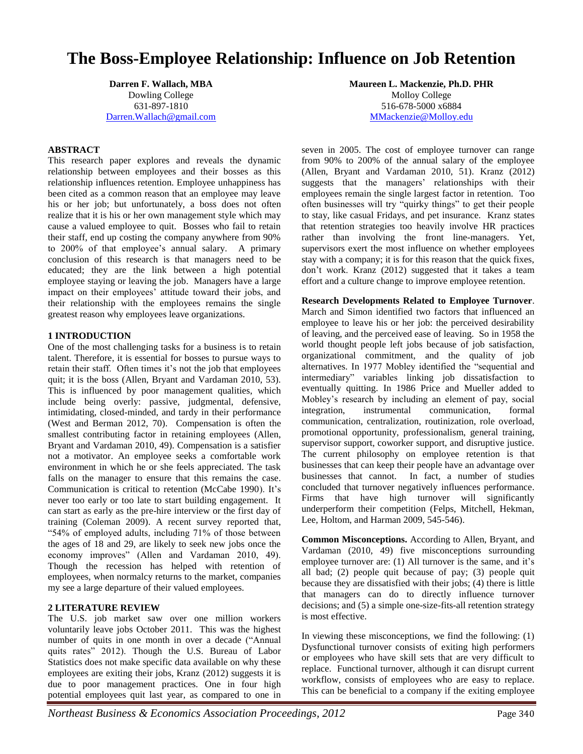# **The Boss-Employee Relationship: Influence on Job Retention**

**Darren F. Wallach, MBA** Dowling College 631-897-1810 Darren.Wallach@gmail.com

#### **ABSTRACT**

This research paper explores and reveals the dynamic relationship between employees and their bosses as this relationship influences retention. Employee unhappiness has been cited as a common reason that an employee may leave his or her job; but unfortunately, a boss does not often realize that it is his or her own management style which may cause a valued employee to quit. Bosses who fail to retain their staff, end up costing the company anywhere from 90% to 200% of that employee's annual salary. A primary conclusion of this research is that managers need to be educated; they are the link between a high potential employee staying or leaving the job. Managers have a large impact on their employees' attitude toward their jobs, and their relationship with the employees remains the single greatest reason why employees leave organizations.

#### **1 INTRODUCTION**

One of the most challenging tasks for a business is to retain talent. Therefore, it is essential for bosses to pursue ways to retain their staff. Often times it's not the job that employees quit; it is the boss (Allen, Bryant and Vardaman 2010, 53). This is influenced by poor management qualities, which include being overly: passive, judgmental, defensive, intimidating, closed-minded, and tardy in their performance (West and Berman 2012, 70). Compensation is often the smallest contributing factor in retaining employees (Allen, Bryant and Vardaman 2010, 49). Compensation is a satisfier not a motivator. An employee seeks a comfortable work environment in which he or she feels appreciated. The task falls on the manager to ensure that this remains the case. Communication is critical to retention (McCabe 1990). It's never too early or too late to start building engagement. It can start as early as the pre-hire interview or the first day of training (Coleman 2009). A recent survey reported that, "54% of employed adults, including 71% of those between the ages of 18 and 29, are likely to seek new jobs once the economy improves" (Allen and Vardaman 2010, 49). Though the recession has helped with retention of employees, when normalcy returns to the market, companies my see a large departure of their valued employees.

#### **2 LITERATURE REVIEW**

The U.S. job market saw over one million workers voluntarily leave jobs October 2011. This was the highest number of quits in one month in over a decade ("Annual quits rates" 2012). Though the U.S. Bureau of Labor Statistics does not make specific data available on why these employees are exiting their jobs, Kranz (2012) suggests it is due to poor management practices. One in four high potential employees quit last year, as compared to one in

**Maureen L. Mackenzie, Ph.D. PHR** Molloy College 516-678-5000 x6884 MMackenzie@Molloy.edu

seven in 2005. The cost of employee turnover can range from 90% to 200% of the annual salary of the employee (Allen, Bryant and Vardaman 2010, 51). Kranz (2012) suggests that the managers' relationships with their employees remain the single largest factor in retention. Too often businesses will try "quirky things" to get their people to stay, like casual Fridays, and pet insurance. Kranz states that retention strategies too heavily involve HR practices rather than involving the front line-managers. Yet, supervisors exert the most influence on whether employees stay with a company; it is for this reason that the quick fixes, don't work. Kranz (2012) suggested that it takes a team effort and a culture change to improve employee retention.

**Research Developments Related to Employee Turnover**. March and Simon identified two factors that influenced an employee to leave his or her job: the perceived desirability of leaving, and the perceived ease of leaving. So in 1958 the world thought people left jobs because of job satisfaction, organizational commitment, and the quality of job alternatives. In 1977 Mobley identified the "sequential and intermediary" variables linking job dissatisfaction to eventually quitting. In 1986 Price and Mueller added to Mobley's research by including an element of pay, social integration, instrumental communication, formal communication, centralization, routinization, role overload, promotional opportunity, professionalism, general training, supervisor support, coworker support, and disruptive justice. The current philosophy on employee retention is that businesses that can keep their people have an advantage over businesses that cannot. In fact, a number of studies concluded that turnover negatively influences performance. Firms that have high turnover will significantly underperform their competition (Felps, Mitchell, Hekman, Lee, Holtom, and Harman 2009, 545-546).

**Common Misconceptions.** According to Allen, Bryant, and Vardaman (2010, 49) five misconceptions surrounding employee turnover are: (1) All turnover is the same, and it's all bad; (2) people quit because of pay; (3) people quit because they are dissatisfied with their jobs; (4) there is little that managers can do to directly influence turnover decisions; and (5) a simple one-size-fits-all retention strategy is most effective.

In viewing these misconceptions, we find the following: (1) Dysfunctional turnover consists of exiting high performers or employees who have skill sets that are very difficult to replace. Functional turnover, although it can disrupt current workflow, consists of employees who are easy to replace. This can be beneficial to a company if the exiting employee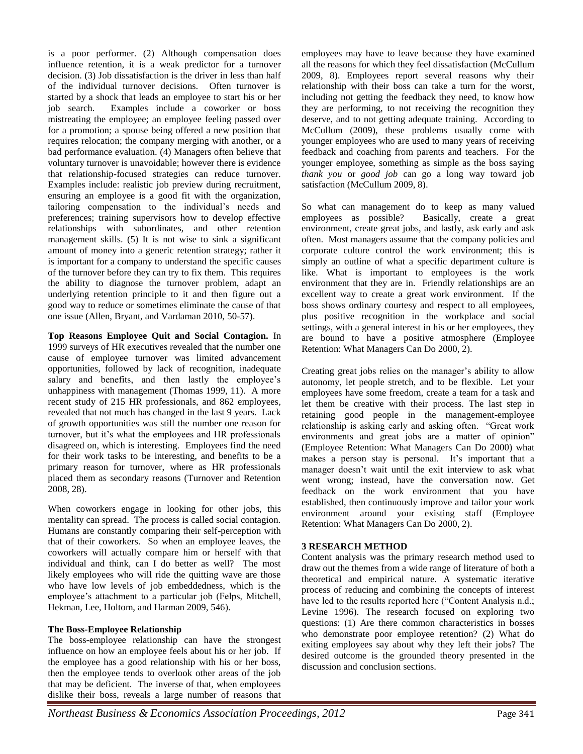is a poor performer. (2) Although compensation does influence retention, it is a weak predictor for a turnover decision. (3) Job dissatisfaction is the driver in less than half of the individual turnover decisions. Often turnover is started by a shock that leads an employee to start his or her job search. Examples include a coworker or boss mistreating the employee; an employee feeling passed over for a promotion; a spouse being offered a new position that requires relocation; the company merging with another, or a bad performance evaluation. (4) Managers often believe that voluntary turnover is unavoidable; however there is evidence that relationship-focused strategies can reduce turnover. Examples include: realistic job preview during recruitment, ensuring an employee is a good fit with the organization, tailoring compensation to the individual's needs and preferences; training supervisors how to develop effective relationships with subordinates, and other retention management skills. (5) It is not wise to sink a significant amount of money into a generic retention strategy; rather it is important for a company to understand the specific causes of the turnover before they can try to fix them. This requires the ability to diagnose the turnover problem, adapt an underlying retention principle to it and then figure out a good way to reduce or sometimes eliminate the cause of that one issue (Allen, Bryant, and Vardaman 2010, 50-57).

**Top Reasons Employee Quit and Social Contagion.** In 1999 surveys of HR executives revealed that the number one cause of employee turnover was limited advancement opportunities, followed by lack of recognition, inadequate salary and benefits, and then lastly the employee's unhappiness with management (Thomas 1999, 11). A more recent study of 215 HR professionals, and 862 employees, revealed that not much has changed in the last 9 years. Lack of growth opportunities was still the number one reason for turnover, but it's what the employees and HR professionals disagreed on, which is interesting. Employees find the need for their work tasks to be interesting, and benefits to be a primary reason for turnover, where as HR professionals placed them as secondary reasons (Turnover and Retention 2008, 28).

When coworkers engage in looking for other jobs, this mentality can spread. The process is called social contagion. Humans are constantly comparing their self-perception with that of their coworkers. So when an employee leaves, the coworkers will actually compare him or herself with that individual and think, can I do better as well? The most likely employees who will ride the quitting wave are those who have low levels of job embeddedness, which is the employee's attachment to a particular job (Felps, Mitchell, Hekman, Lee, Holtom, and Harman 2009, 546).

#### **The Boss-Employee Relationship**

The boss-employee relationship can have the strongest influence on how an employee feels about his or her job. If the employee has a good relationship with his or her boss, then the employee tends to overlook other areas of the job that may be deficient. The inverse of that, when employees dislike their boss, reveals a large number of reasons that employees may have to leave because they have examined all the reasons for which they feel dissatisfaction (McCullum 2009, 8). Employees report several reasons why their relationship with their boss can take a turn for the worst, including not getting the feedback they need, to know how they are performing, to not receiving the recognition they deserve, and to not getting adequate training. According to McCullum (2009), these problems usually come with younger employees who are used to many years of receiving feedback and coaching from parents and teachers. For the younger employee, something as simple as the boss saying *thank you* or *good job* can go a long way toward job satisfaction (McCullum 2009, 8).

So what can management do to keep as many valued employees as possible? Basically, create a great environment, create great jobs, and lastly, ask early and ask often. Most managers assume that the company policies and corporate culture control the work environment; this is simply an outline of what a specific department culture is like. What is important to employees is the work environment that they are in. Friendly relationships are an excellent way to create a great work environment. If the boss shows ordinary courtesy and respect to all employees, plus positive recognition in the workplace and social settings, with a general interest in his or her employees, they are bound to have a positive atmosphere (Employee Retention: What Managers Can Do 2000, 2).

Creating great jobs relies on the manager's ability to allow autonomy, let people stretch, and to be flexible. Let your employees have some freedom, create a team for a task and let them be creative with their process. The last step in retaining good people in the management-employee relationship is asking early and asking often. "Great work environments and great jobs are a matter of opinion" (Employee Retention: What Managers Can Do 2000) what makes a person stay is personal. It's important that a manager doesn't wait until the exit interview to ask what went wrong; instead, have the conversation now. Get feedback on the work environment that you have established, then continuously improve and tailor your work environment around your existing staff (Employee Retention: What Managers Can Do 2000, 2).

#### **3 RESEARCH METHOD**

Content analysis was the primary research method used to draw out the themes from a wide range of literature of both a theoretical and empirical nature. A systematic iterative process of reducing and combining the concepts of interest have led to the results reported here ("Content Analysis n.d.; Levine 1996). The research focused on exploring two questions: (1) Are there common characteristics in bosses who demonstrate poor employee retention? (2) What do exiting employees say about why they left their jobs? The desired outcome is the grounded theory presented in the discussion and conclusion sections.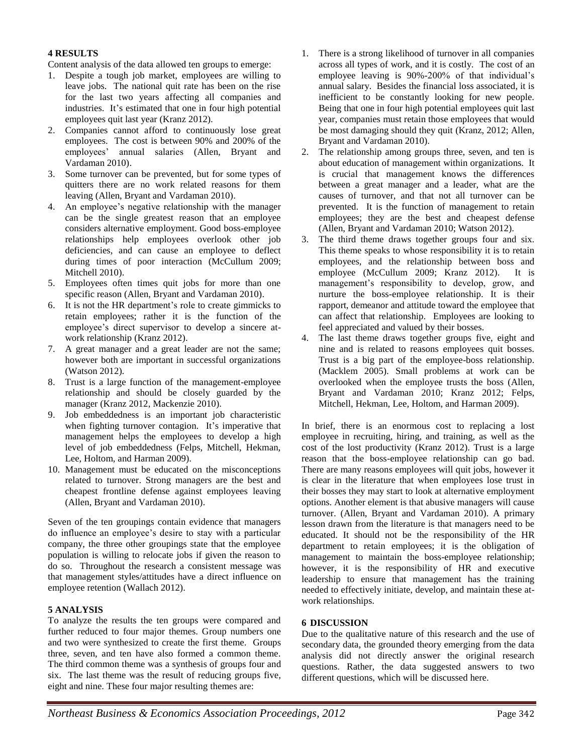### **4 RESULTS**

Content analysis of the data allowed ten groups to emerge:

- 1. Despite a tough job market, employees are willing to leave jobs. The national quit rate has been on the rise for the last two years affecting all companies and industries. It's estimated that one in four high potential employees quit last year (Kranz 2012).
- 2. Companies cannot afford to continuously lose great employees. The cost is between 90% and 200% of the employees' annual salaries (Allen, Bryant and Vardaman 2010).
- 3. Some turnover can be prevented, but for some types of quitters there are no work related reasons for them leaving (Allen, Bryant and Vardaman 2010).
- 4. An employee's negative relationship with the manager can be the single greatest reason that an employee considers alternative employment. Good boss-employee relationships help employees overlook other job deficiencies, and can cause an employee to deflect during times of poor interaction (McCullum 2009; Mitchell 2010).
- 5. Employees often times quit jobs for more than one specific reason (Allen, Bryant and Vardaman 2010).
- 6. It is not the HR department's role to create gimmicks to retain employees; rather it is the function of the employee's direct supervisor to develop a sincere atwork relationship (Kranz 2012).
- 7. A great manager and a great leader are not the same; however both are important in successful organizations (Watson 2012).
- 8. Trust is a large function of the management-employee relationship and should be closely guarded by the manager (Kranz 2012, Mackenzie 2010).
- 9. Job embeddedness is an important job characteristic when fighting turnover contagion. It's imperative that management helps the employees to develop a high level of job embeddedness (Felps, Mitchell, Hekman, Lee, Holtom, and Harman 2009).
- 10. Management must be educated on the misconceptions related to turnover. Strong managers are the best and cheapest frontline defense against employees leaving (Allen, Bryant and Vardaman 2010).

Seven of the ten groupings contain evidence that managers do influence an employee's desire to stay with a particular company, the three other groupings state that the employee population is willing to relocate jobs if given the reason to do so. Throughout the research a consistent message was that management styles/attitudes have a direct influence on employee retention (Wallach 2012).

#### **5 ANALYSIS**

To analyze the results the ten groups were compared and further reduced to four major themes. Group numbers one and two were synthesized to create the first theme. Groups three, seven, and ten have also formed a common theme. The third common theme was a synthesis of groups four and six. The last theme was the result of reducing groups five, eight and nine. These four major resulting themes are:

- 1. There is a strong likelihood of turnover in all companies across all types of work, and it is costly. The cost of an employee leaving is 90%-200% of that individual's annual salary. Besides the financial loss associated, it is inefficient to be constantly looking for new people. Being that one in four high potential employees quit last year, companies must retain those employees that would be most damaging should they quit (Kranz, 2012; Allen, Bryant and Vardaman 2010).
- 2. The relationship among groups three, seven, and ten is about education of management within organizations. It is crucial that management knows the differences between a great manager and a leader, what are the causes of turnover, and that not all turnover can be prevented. It is the function of management to retain employees; they are the best and cheapest defense (Allen, Bryant and Vardaman 2010; Watson 2012).
- 3. The third theme draws together groups four and six. This theme speaks to whose responsibility it is to retain employees, and the relationship between boss and employee (McCullum 2009; Kranz 2012). It is management's responsibility to develop, grow, and nurture the boss-employee relationship. It is their rapport, demeanor and attitude toward the employee that can affect that relationship. Employees are looking to feel appreciated and valued by their bosses.
- 4. The last theme draws together groups five, eight and nine and is related to reasons employees quit bosses. Trust is a big part of the employee-boss relationship. (Macklem 2005). Small problems at work can be overlooked when the employee trusts the boss (Allen, Bryant and Vardaman 2010; Kranz 2012; Felps, Mitchell, Hekman, Lee, Holtom, and Harman 2009).

In brief, there is an enormous cost to replacing a lost employee in recruiting, hiring, and training, as well as the cost of the lost productivity (Kranz 2012). Trust is a large reason that the boss-employee relationship can go bad. There are many reasons employees will quit jobs, however it is clear in the literature that when employees lose trust in their bosses they may start to look at alternative employment options. Another element is that abusive managers will cause turnover. (Allen, Bryant and Vardaman 2010). A primary lesson drawn from the literature is that managers need to be educated. It should not be the responsibility of the HR department to retain employees; it is the obligation of management to maintain the boss-employee relationship; however, it is the responsibility of HR and executive leadership to ensure that management has the training needed to effectively initiate, develop, and maintain these atwork relationships.

#### **6 DISCUSSION**

Due to the qualitative nature of this research and the use of secondary data, the grounded theory emerging from the data analysis did not directly answer the original research questions. Rather, the data suggested answers to two different questions, which will be discussed here.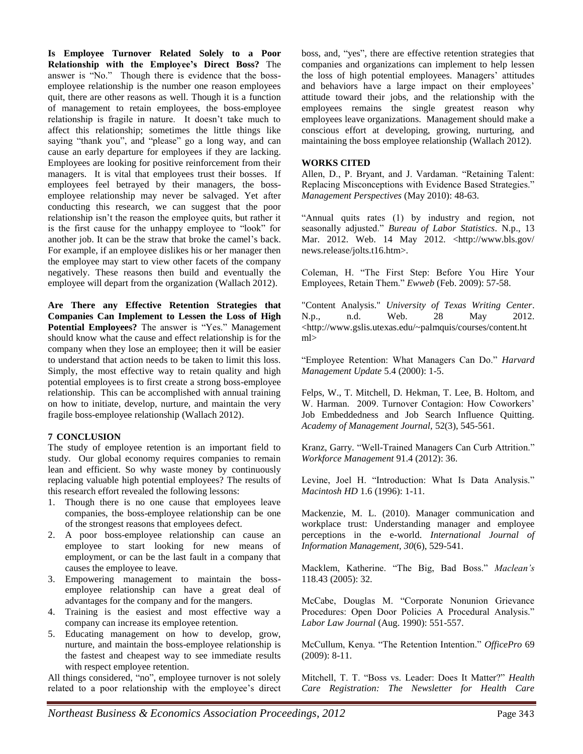**Is Employee Turnover Related Solely to a Poor Relationship with the Employee's Direct Boss?** The answer is "No." Though there is evidence that the bossemployee relationship is the number one reason employees quit, there are other reasons as well. Though it is a function of management to retain employees, the boss-employee relationship is fragile in nature. It doesn't take much to affect this relationship; sometimes the little things like saying "thank you", and "please" go a long way, and can cause an early departure for employees if they are lacking. Employees are looking for positive reinforcement from their managers. It is vital that employees trust their bosses. If employees feel betrayed by their managers, the bossemployee relationship may never be salvaged. Yet after conducting this research, we can suggest that the poor relationship isn't the reason the employee quits, but rather it is the first cause for the unhappy employee to "look" for another job. It can be the straw that broke the camel's back. For example, if an employee dislikes his or her manager then the employee may start to view other facets of the company negatively. These reasons then build and eventually the employee will depart from the organization (Wallach 2012).

**Are There any Effective Retention Strategies that Companies Can Implement to Lessen the Loss of High Potential Employees?** The answer is "Yes." Management should know what the cause and effect relationship is for the company when they lose an employee; then it will be easier to understand that action needs to be taken to limit this loss. Simply, the most effective way to retain quality and high potential employees is to first create a strong boss-employee relationship. This can be accomplished with annual training on how to initiate, develop, nurture, and maintain the very fragile boss-employee relationship (Wallach 2012).

#### **7 CONCLUSION**

The study of employee retention is an important field to study. Our global economy requires companies to remain lean and efficient. So why waste money by continuously replacing valuable high potential employees? The results of this research effort revealed the following lessons:

- 1. Though there is no one cause that employees leave companies, the boss-employee relationship can be one of the strongest reasons that employees defect.
- 2. A poor boss-employee relationship can cause an employee to start looking for new means of employment, or can be the last fault in a company that causes the employee to leave.
- 3. Empowering management to maintain the bossemployee relationship can have a great deal of advantages for the company and for the mangers.
- 4. Training is the easiest and most effective way a company can increase its employee retention.
- 5. Educating management on how to develop, grow, nurture, and maintain the boss-employee relationship is the fastest and cheapest way to see immediate results with respect employee retention.

All things considered, "no", employee turnover is not solely related to a poor relationship with the employee's direct boss, and, "yes", there are effective retention strategies that companies and organizations can implement to help lessen the loss of high potential employees. Managers' attitudes and behaviors have a large impact on their employees' attitude toward their jobs, and the relationship with the employees remains the single greatest reason why employees leave organizations. Management should make a conscious effort at developing, growing, nurturing, and maintaining the boss employee relationship (Wallach 2012).

#### **WORKS CITED**

Allen, D., P. Bryant, and J. Vardaman. "Retaining Talent: Replacing Misconceptions with Evidence Based Strategies." *Management Perspectives* (May 2010): 48-63.

"Annual quits rates (1) by industry and region, not seasonally adjusted." *Bureau of Labor Statistics*. N.p., 13 Mar. 2012. Web. 14 May 2012. <http://www.bls.gov/ news.release/jolts.t16.htm>.

Coleman, H. "The First Step: Before You Hire Your Employees, Retain Them." *Ewweb* (Feb. 2009): 57-58.

"Content Analysis." *University of Texas Writing Center*. N.p., n.d. Web. 28 May 2012. <http://www.gslis.utexas.edu/~palmquis/courses/content.ht ml>

"Employee Retention: What Managers Can Do." *Harvard Management Update* 5.4 (2000): 1-5.

Felps, W., T. Mitchell, D. Hekman, T. Lee, B. Holtom, and W. Harman. 2009. Turnover Contagion: How Coworkers' Job Embeddedness and Job Search Influence Quitting. *Academy of Management Journal,* 52(3), 545-561.

Kranz, Garry. "Well-Trained Managers Can Curb Attrition." *Workforce Management* 91.4 (2012): 36.

Levine, Joel H. "Introduction: What Is Data Analysis." *Macintosh HD* 1.6 (1996): 1-11.

Mackenzie, M. L. (2010). Manager communication and workplace trust: Understanding manager and employee perceptions in the e-world. *International Journal of Information Management, 30*(6), 529-541.

Macklem, Katherine. "The Big, Bad Boss." *Maclean's* 118.43 (2005): 32.

McCabe, Douglas M. "Corporate Nonunion Grievance Procedures: Open Door Policies A Procedural Analysis." *Labor Law Journal* (Aug. 1990): 551-557.

McCullum, Kenya. "The Retention Intention." *OfficePro* 69 (2009): 8-11.

Mitchell, T. T. "Boss vs. Leader: Does It Matter?" *Health Care Registration: The Newsletter for Health Care*